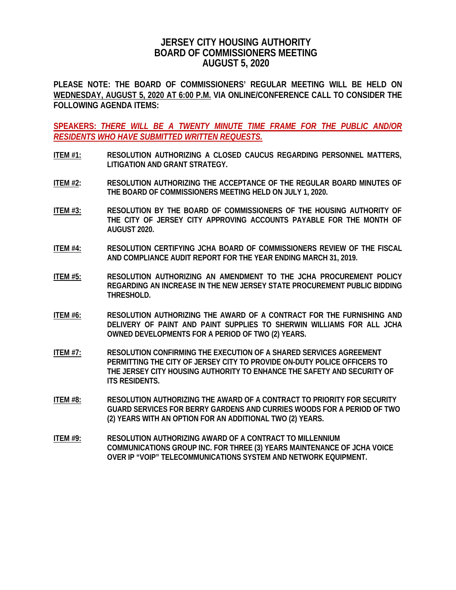## **JERSEY CITY HOUSING AUTHORITY BOARD OF COMMISSIONERS MEETING AUGUST 5, 2020**

**PLEASE NOTE: THE BOARD OF COMMISSIONERS' REGULAR MEETING WILL BE HELD ON WEDNESDAY, AUGUST 5, 2020 AT 6:00 P.M. VIA ONLINE/CONFERENCE CALL TO CONSIDER THE FOLLOWING AGENDA ITEMS:**

**SPEAKERS:** *THERE WILL BE A TWENTY MINUTE TIME FRAME FOR THE PUBLIC AND/OR RESIDENTS WHO HAVE SUBMITTED WRITTEN REQUESTS.*

- **ITEM #1: RESOLUTION AUTHORIZING A CLOSED CAUCUS REGARDING PERSONNEL MATTERS, LITIGATION AND GRANT STRATEGY.**
- **ITEM #2: RESOLUTION AUTHORIZING THE ACCEPTANCE OF THE REGULAR BOARD MINUTES OF THE BOARD OF COMMISSIONERS MEETING HELD ON JULY 1, 2020.**
- **ITEM #3: RESOLUTION BY THE BOARD OF COMMISSIONERS OF THE HOUSING AUTHORITY OF THE CITY OF JERSEY CITY APPROVING ACCOUNTS PAYABLE FOR THE MONTH OF AUGUST 2020.**
- **ITEM #4: RESOLUTION CERTIFYING JCHA BOARD OF COMMISSIONERS REVIEW OF THE FISCAL AND COMPLIANCE AUDIT REPORT FOR THE YEAR ENDING MARCH 31, 2019.**
- **ITEM #5: RESOLUTION AUTHORIZING AN AMENDMENT TO THE JCHA PROCUREMENT POLICY REGARDING AN INCREASE IN THE NEW JERSEY STATE PROCUREMENT PUBLIC BIDDING THRESHOLD.**
- **ITEM #6: RESOLUTION AUTHORIZING THE AWARD OF A CONTRACT FOR THE FURNISHING AND DELIVERY OF PAINT AND PAINT SUPPLIES TO SHERWIN WILLIAMS FOR ALL JCHA OWNED DEVELOPMENTS FOR A PERIOD OF TWO (2) YEARS.**
- **ITEM #7: RESOLUTION CONFIRMING THE EXECUTION OF A SHARED SERVICES AGREEMENT PERMITTING THE CITY OF JERSEY CITY TO PROVIDE ON-DUTY POLICE OFFICERS TO THE JERSEY CITY HOUSING AUTHORITY TO ENHANCE THE SAFETY AND SECURITY OF ITS RESIDENTS.**
- **ITEM #8: RESOLUTION AUTHORIZING THE AWARD OF A CONTRACT TO PRIORITY FOR SECURITY GUARD SERVICES FOR BERRY GARDENS AND CURRIES WOODS FOR A PERIOD OF TWO (2) YEARS WITH AN OPTION FOR AN ADDITIONAL TWO (2) YEARS.**
- **ITEM #9: RESOLUTION AUTHORIZING AWARD OF A CONTRACT TO MILLENNIUM COMMUNICATIONS GROUP INC. FOR THREE (3) YEARS MAINTENANCE OF JCHA VOICE OVER IP "VOIP" TELECOMMUNICATIONS SYSTEM AND NETWORK EQUIPMENT.**